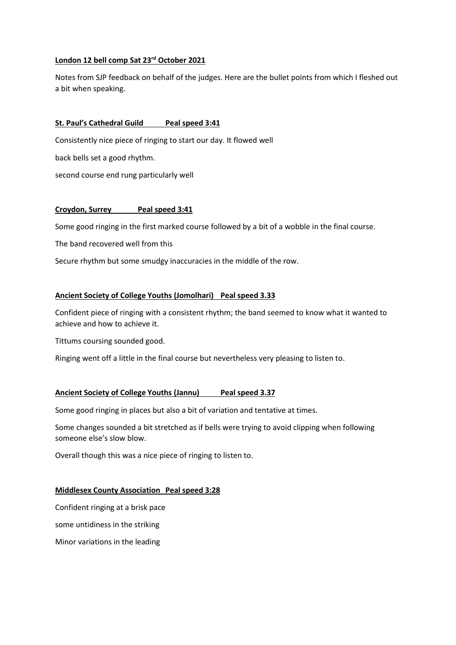## **London 12 bell comp Sat 23rd October 2021**

Notes from SJP feedback on behalf of the judges. Here are the bullet points from which I fleshed out a bit when speaking.

## **St. Paul's Cathedral Guild Peal speed 3:41**

Consistently nice piece of ringing to start our day. It flowed well

back bells set a good rhythm.

second course end rung particularly well

#### **Croydon, Surrey Peal speed 3:41**

Some good ringing in the first marked course followed by a bit of a wobble in the final course.

The band recovered well from this

Secure rhythm but some smudgy inaccuracies in the middle of the row.

#### **Ancient Society of College Youths (Jomolhari) Peal speed 3.33**

Confident piece of ringing with a consistent rhythm; the band seemed to know what it wanted to achieve and how to achieve it.

Tittums coursing sounded good.

Ringing went off a little in the final course but nevertheless very pleasing to listen to.

## **Ancient Society of College Youths (Jannu) Peal speed 3.37**

Some good ringing in places but also a bit of variation and tentative at times.

Some changes sounded a bit stretched as if bells were trying to avoid clipping when following someone else's slow blow.

Overall though this was a nice piece of ringing to listen to.

#### **Middlesex County Association Peal speed 3:28**

Confident ringing at a brisk pace

some untidiness in the striking

Minor variations in the leading